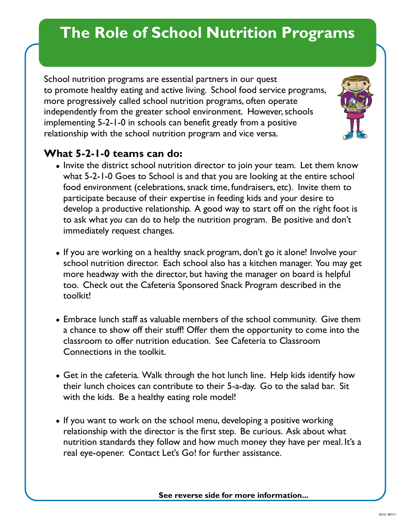## **The Role of School Nutrition Programs**

School nutrition programs are essential partners in our quest to promote healthy eating and active living. School food service programs, more progressively called school nutrition programs, often operate independently from the greater school environment. However, schools implementing 5-2-1-0 in schools can benefit greatly from a positive relationship with the school nutrition program and vice versa.



## **What 5-2-1-0 teams can do:**

- Invite the district school nutrition director to join your team. Let them know what 5-2-1-0 Goes to School is and that you are looking at the entire school food environment (celebrations, snack time, fundraisers, etc). Invite them to participate because of their expertise in feeding kids and your desire to develop a productive relationship. A good way to start off on the right foot is to ask what *you* can do to help the nutrition program. Be positive and don't immediately request changes.
- If you are working on a healthy snack program, don't go it alone! Involve your school nutrition director. Each school also has a kitchen manager. You may get more headway with the director, but having the manager on board is helpful too. Check out the Cafeteria Sponsored Snack Program described in the toolkit!
- Embrace lunch staff as valuable members of the school community. Give them a chance to show off their stuff! Offer them the opportunity to come into the classroom to offer nutrition education. See Cafeteria to Classroom Connections in the toolkit.
- Get in the cafeteria. Walk through the hot lunch line. Help kids identify how their lunch choices can contribute to their 5-a-day. Go to the salad bar. Sit with the kids. Be a healthy eating role model!
- If you want to work on the school menu, developing a positive working relationship with the director is the first step. Be curious. Ask about what nutrition standards they follow and how much money they have per meal. It's a real eye-opener. Contact Let's Go! for further assistance.